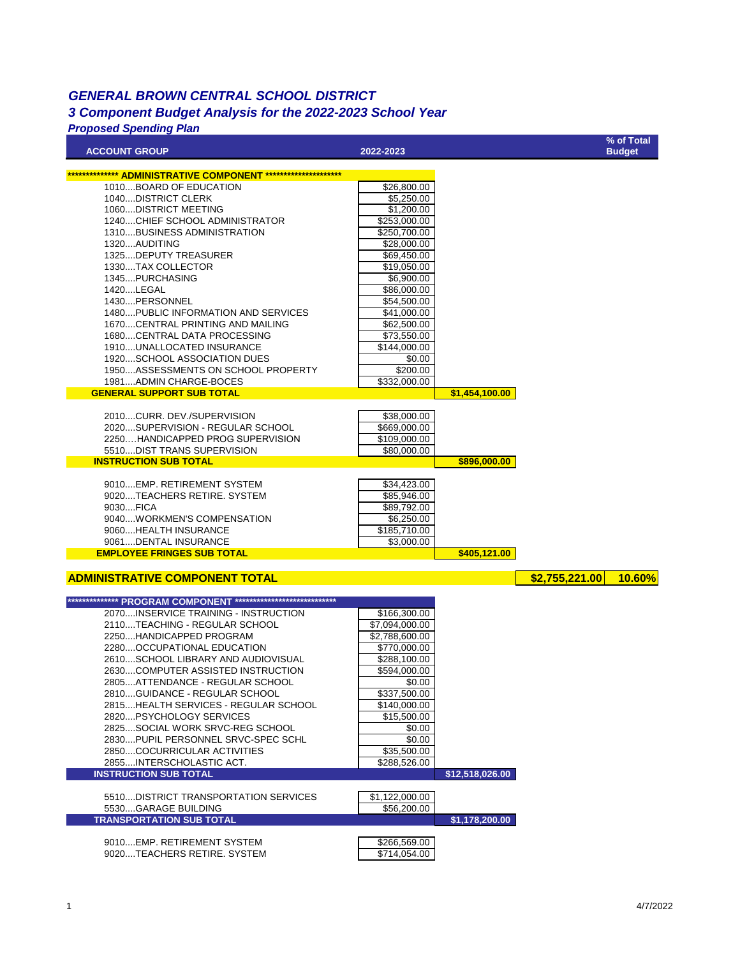## *GENERAL BROWN CENTRAL SCHOOL DISTRICT 3 Component Budget Analysis for the 2022-2023 School Year*

## *Proposed Spending Plan*

| <b>ACCOUNT GROUP</b>                                                  | 2022-2023                   |                 |                | % of Total<br><b>Budget</b> |
|-----------------------------------------------------------------------|-----------------------------|-----------------|----------------|-----------------------------|
|                                                                       |                             |                 |                |                             |
| <b>ADMINISTRATIVE COMPONENT ****</b><br>1010BOARD OF EDUCATION        | \$26,800.00                 |                 |                |                             |
| 1040DISTRICT CLERK                                                    | \$5,250.00                  |                 |                |                             |
| 1060DISTRICT MEETING                                                  | \$1,200.00                  |                 |                |                             |
| 1240CHIEF SCHOOL ADMINISTRATOR                                        | \$253,000.00                |                 |                |                             |
| 1310BUSINESS ADMINISTRATION                                           | \$250,700.00                |                 |                |                             |
| 1320AUDITING                                                          | \$28,000.00                 |                 |                |                             |
| 1325DEPUTY TREASURER                                                  | \$69,450.00                 |                 |                |                             |
| 1330TAX COLLECTOR                                                     | \$19,050.00                 |                 |                |                             |
| 1345PURCHASING<br>1420LEGAL                                           | \$6,900.00<br>\$86,000.00   |                 |                |                             |
| 1430PERSONNEL                                                         | \$54,500.00                 |                 |                |                             |
| 1480PUBLIC INFORMATION AND SERVICES                                   | \$41,000.00                 |                 |                |                             |
| 1670CENTRAL PRINTING AND MAILING                                      | \$62,500.00                 |                 |                |                             |
| 1680CENTRAL DATA PROCESSING                                           | \$73,550.00                 |                 |                |                             |
| 1910UNALLOCATED INSURANCE                                             | \$144,000.00                |                 |                |                             |
| 1920SCHOOL ASSOCIATION DUES                                           | \$0.00                      |                 |                |                             |
| 1950ASSESSMENTS ON SCHOOL PROPERTY                                    | \$200.00                    |                 |                |                             |
| 1981ADMIN CHARGE-BOCES<br><b>GENERAL SUPPORT SUB TOTAL</b>            | \$332,000.00                |                 |                |                             |
|                                                                       |                             | \$1,454,100.00  |                |                             |
| 2010CURR. DEV./SUPERVISION                                            | \$38,000.00                 |                 |                |                             |
| 2020SUPERVISION - REGULAR SCHOOL                                      | \$669,000.00                |                 |                |                             |
| 2250HANDICAPPED PROG SUPERVISION                                      | \$109,000.00                |                 |                |                             |
| 5510DIST TRANS SUPERVISION                                            | \$80,000.00                 |                 |                |                             |
| <b>INSTRUCTION SUB TOTAL</b>                                          |                             | \$896,000.00    |                |                             |
| 9010EMP. RETIREMENT SYSTEM                                            |                             |                 |                |                             |
| 9020TEACHERS RETIRE. SYSTEM                                           | \$34,423.00<br>\$85,946.00  |                 |                |                             |
| 9030FICA                                                              | \$89,792.00                 |                 |                |                             |
| 9040WORKMEN'S COMPENSATION                                            | \$6,250.00                  |                 |                |                             |
| 9060HEALTH INSURANCE                                                  | \$185,710.00                |                 |                |                             |
| 9061DENTAL INSURANCE                                                  | \$3,000.00                  |                 |                |                             |
| <b>EMPLOYEE FRINGES SUB TOTAL</b>                                     |                             | \$405,121.00    |                |                             |
|                                                                       |                             |                 |                |                             |
| <b>ADMINISTRATIVE COMPONENT TOTAL</b>                                 |                             |                 | \$2,755,221.00 | <b>10.60%</b>               |
| ************** PROGRAM COMPONENT *****************************        |                             |                 |                |                             |
| 2070INSERVICE TRAINING - INSTRUCTION                                  | \$166,300.00                |                 |                |                             |
| 2110TEACHING - REGULAR SCHOOL                                         | \$7,094,000.00              |                 |                |                             |
| 2250HANDICAPPED PROGRAM                                               | \$2,788,600.00              |                 |                |                             |
| 2280OCCUPATIONAL EDUCATION                                            | \$770,000.00                |                 |                |                             |
| 2610SCHOOL LIBRARY AND AUDIOVISUAL                                    | \$288,100.00                |                 |                |                             |
| 2630COMPUTER ASSISTED INSTRUCTION                                     | \$594.000.00                |                 |                |                             |
| 2805ATTENDANCE - REGULAR SCHOOL                                       | \$0.00                      |                 |                |                             |
| 2810GUIDANCE - REGULAR SCHOOL<br>2815HEALTH SERVICES - REGULAR SCHOOL | \$337,500.00                |                 |                |                             |
| 2820PSYCHOLOGY SERVICES                                               | \$140,000.00<br>\$15,500.00 |                 |                |                             |
| 2825SOCIAL WORK SRVC-REG SCHOOL                                       | \$0.00                      |                 |                |                             |
| 2830PUPIL PERSONNEL SRVC-SPEC SCHL                                    | \$0.00                      |                 |                |                             |
| 2850COCURRICULAR ACTIVITIES                                           | \$35,500.00                 |                 |                |                             |
| 2855INTERSCHOLASTIC ACT.                                              | \$288,526.00                |                 |                |                             |
| <b>INSTRUCTION SUB TOTAL</b>                                          |                             | \$12,518,026.00 |                |                             |
|                                                                       |                             |                 |                |                             |
| 5510DISTRICT TRANSPORTATION SERVICES                                  | \$1,122,000.00              |                 |                |                             |
| 5530GARAGE BUILDING<br><b>TRANSPORTATION SUB TOTAL</b>                | \$56,200.00                 | \$1,178,200.00  |                |                             |
|                                                                       |                             |                 |                |                             |
| 9010EMP. RETIREMENT SYSTEM                                            | \$266,569.00                |                 |                |                             |
| 9020TEACHERS RETIRE. SYSTEM                                           | \$714,054.00                |                 |                |                             |